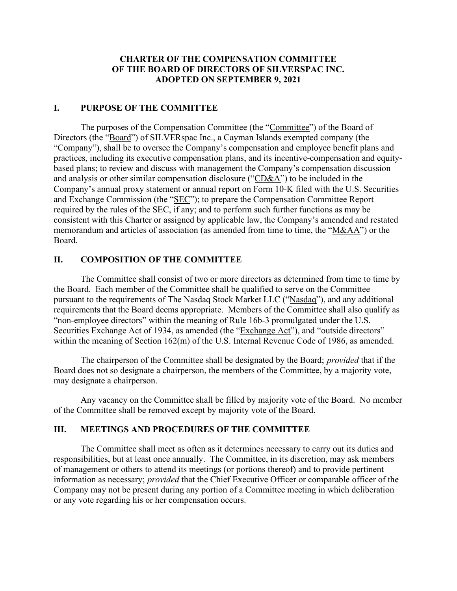#### CHARTER OF THE COMPENSATION COMMITTEE OF THE BOARD OF DIRECTORS OF SILVERSPAC INC. ADOPTED ON SEPTEMBER 9, 2021

#### I. PURPOSE OF THE COMMITTEE

The purposes of the Compensation Committee (the "Committee") of the Board of Directors (the "Board") of SILVERspac Inc., a Cayman Islands exempted company (the "Company"), shall be to oversee the Company's compensation and employee benefit plans and practices, including its executive compensation plans, and its incentive-compensation and equitybased plans; to review and discuss with management the Company's compensation discussion and analysis or other similar compensation disclosure ("CD&A") to be included in the Company's annual proxy statement or annual report on Form 10-K filed with the U.S. Securities and Exchange Commission (the "SEC"); to prepare the Compensation Committee Report required by the rules of the SEC, if any; and to perform such further functions as may be consistent with this Charter or assigned by applicable law, the Company's amended and restated memorandum and articles of association (as amended from time to time, the "M&AA") or the Board.

#### II. COMPOSITION OF THE COMMITTEE

The Committee shall consist of two or more directors as determined from time to time by the Board. Each member of the Committee shall be qualified to serve on the Committee pursuant to the requirements of The Nasdaq Stock Market LLC ("Nasdaq"), and any additional requirements that the Board deems appropriate. Members of the Committee shall also qualify as "non-employee directors" within the meaning of Rule 16b-3 promulgated under the U.S. Securities Exchange Act of 1934, as amended (the "Exchange Act"), and "outside directors" within the meaning of Section 162(m) of the U.S. Internal Revenue Code of 1986, as amended.

The chairperson of the Committee shall be designated by the Board; *provided* that if the Board does not so designate a chairperson, the members of the Committee, by a majority vote, may designate a chairperson.

Any vacancy on the Committee shall be filled by majority vote of the Board. No member of the Committee shall be removed except by majority vote of the Board.

#### III. MEETINGS AND PROCEDURES OF THE COMMITTEE

The Committee shall meet as often as it determines necessary to carry out its duties and responsibilities, but at least once annually. The Committee, in its discretion, may ask members of management or others to attend its meetings (or portions thereof) and to provide pertinent information as necessary; provided that the Chief Executive Officer or comparable officer of the Company may not be present during any portion of a Committee meeting in which deliberation or any vote regarding his or her compensation occurs.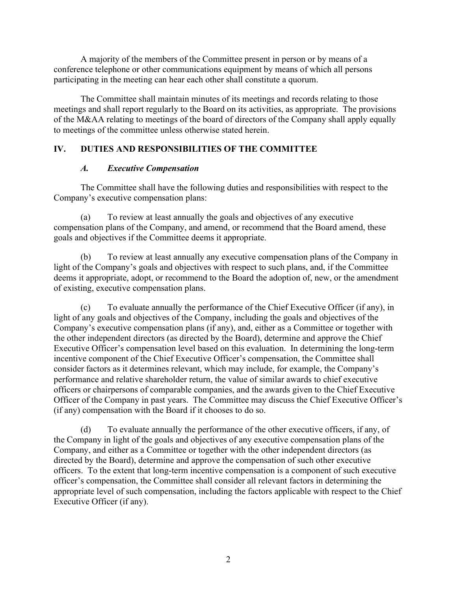A majority of the members of the Committee present in person or by means of a conference telephone or other communications equipment by means of which all persons participating in the meeting can hear each other shall constitute a quorum.

The Committee shall maintain minutes of its meetings and records relating to those meetings and shall report regularly to the Board on its activities, as appropriate. The provisions of the M&AA relating to meetings of the board of directors of the Company shall apply equally to meetings of the committee unless otherwise stated herein.

# IV. DUTIES AND RESPONSIBILITIES OF THE COMMITTEE

## A. Executive Compensation

The Committee shall have the following duties and responsibilities with respect to the Company's executive compensation plans:

(a) To review at least annually the goals and objectives of any executive compensation plans of the Company, and amend, or recommend that the Board amend, these goals and objectives if the Committee deems it appropriate.

(b) To review at least annually any executive compensation plans of the Company in light of the Company's goals and objectives with respect to such plans, and, if the Committee deems it appropriate, adopt, or recommend to the Board the adoption of, new, or the amendment of existing, executive compensation plans.

(c) To evaluate annually the performance of the Chief Executive Officer (if any), in light of any goals and objectives of the Company, including the goals and objectives of the Company's executive compensation plans (if any), and, either as a Committee or together with the other independent directors (as directed by the Board), determine and approve the Chief Executive Officer's compensation level based on this evaluation. In determining the long-term incentive component of the Chief Executive Officer's compensation, the Committee shall consider factors as it determines relevant, which may include, for example, the Company's performance and relative shareholder return, the value of similar awards to chief executive officers or chairpersons of comparable companies, and the awards given to the Chief Executive Officer of the Company in past years. The Committee may discuss the Chief Executive Officer's (if any) compensation with the Board if it chooses to do so.

(d) To evaluate annually the performance of the other executive officers, if any, of the Company in light of the goals and objectives of any executive compensation plans of the Company, and either as a Committee or together with the other independent directors (as directed by the Board), determine and approve the compensation of such other executive officers. To the extent that long-term incentive compensation is a component of such executive officer's compensation, the Committee shall consider all relevant factors in determining the appropriate level of such compensation, including the factors applicable with respect to the Chief Executive Officer (if any).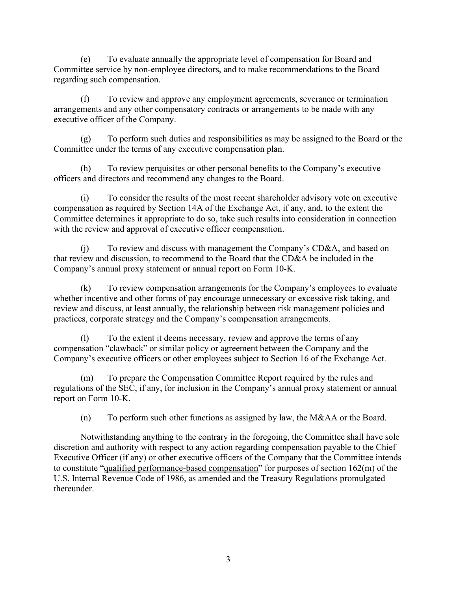(e) To evaluate annually the appropriate level of compensation for Board and Committee service by non-employee directors, and to make recommendations to the Board regarding such compensation.

(f) To review and approve any employment agreements, severance or termination arrangements and any other compensatory contracts or arrangements to be made with any executive officer of the Company.

(g) To perform such duties and responsibilities as may be assigned to the Board or the Committee under the terms of any executive compensation plan.

(h) To review perquisites or other personal benefits to the Company's executive officers and directors and recommend any changes to the Board.

(i) To consider the results of the most recent shareholder advisory vote on executive compensation as required by Section 14A of the Exchange Act, if any, and, to the extent the Committee determines it appropriate to do so, take such results into consideration in connection with the review and approval of executive officer compensation.

(j) To review and discuss with management the Company's CD&A, and based on that review and discussion, to recommend to the Board that the CD&A be included in the Company's annual proxy statement or annual report on Form 10-K.

(k) To review compensation arrangements for the Company's employees to evaluate whether incentive and other forms of pay encourage unnecessary or excessive risk taking, and review and discuss, at least annually, the relationship between risk management policies and practices, corporate strategy and the Company's compensation arrangements.

(l) To the extent it deems necessary, review and approve the terms of any compensation "clawback" or similar policy or agreement between the Company and the Company's executive officers or other employees subject to Section 16 of the Exchange Act.

(m) To prepare the Compensation Committee Report required by the rules and regulations of the SEC, if any, for inclusion in the Company's annual proxy statement or annual report on Form 10-K.

(n) To perform such other functions as assigned by law, the M&AA or the Board.

Notwithstanding anything to the contrary in the foregoing, the Committee shall have sole discretion and authority with respect to any action regarding compensation payable to the Chief Executive Officer (if any) or other executive officers of the Company that the Committee intends to constitute "qualified performance-based compensation" for purposes of section 162(m) of the U.S. Internal Revenue Code of 1986, as amended and the Treasury Regulations promulgated thereunder.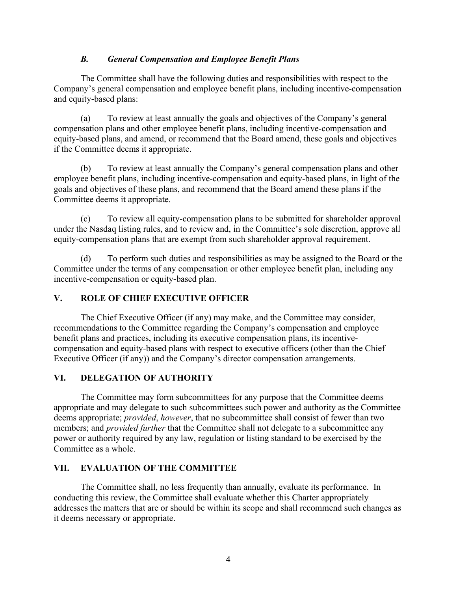### B. General Compensation and Employee Benefit Plans

The Committee shall have the following duties and responsibilities with respect to the Company's general compensation and employee benefit plans, including incentive-compensation and equity-based plans:

(a) To review at least annually the goals and objectives of the Company's general compensation plans and other employee benefit plans, including incentive-compensation and equity-based plans, and amend, or recommend that the Board amend, these goals and objectives if the Committee deems it appropriate.

(b) To review at least annually the Company's general compensation plans and other employee benefit plans, including incentive-compensation and equity-based plans, in light of the goals and objectives of these plans, and recommend that the Board amend these plans if the Committee deems it appropriate.

(c) To review all equity-compensation plans to be submitted for shareholder approval under the Nasdaq listing rules, and to review and, in the Committee's sole discretion, approve all equity-compensation plans that are exempt from such shareholder approval requirement.

(d) To perform such duties and responsibilities as may be assigned to the Board or the Committee under the terms of any compensation or other employee benefit plan, including any incentive-compensation or equity-based plan.

## V. ROLE OF CHIEF EXECUTIVE OFFICER

The Chief Executive Officer (if any) may make, and the Committee may consider, recommendations to the Committee regarding the Company's compensation and employee benefit plans and practices, including its executive compensation plans, its incentivecompensation and equity-based plans with respect to executive officers (other than the Chief Executive Officer (if any)) and the Company's director compensation arrangements.

## VI. DELEGATION OF AUTHORITY

The Committee may form subcommittees for any purpose that the Committee deems appropriate and may delegate to such subcommittees such power and authority as the Committee deems appropriate; provided, however, that no subcommittee shall consist of fewer than two members; and *provided further* that the Committee shall not delegate to a subcommittee any power or authority required by any law, regulation or listing standard to be exercised by the Committee as a whole.

## VII. EVALUATION OF THE COMMITTEE

The Committee shall, no less frequently than annually, evaluate its performance. In conducting this review, the Committee shall evaluate whether this Charter appropriately addresses the matters that are or should be within its scope and shall recommend such changes as it deems necessary or appropriate.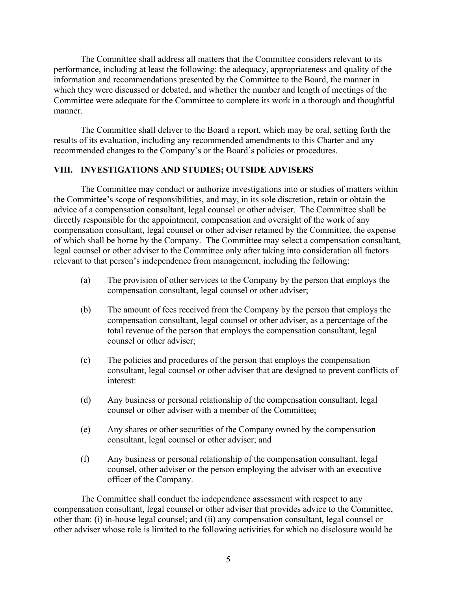The Committee shall address all matters that the Committee considers relevant to its performance, including at least the following: the adequacy, appropriateness and quality of the information and recommendations presented by the Committee to the Board, the manner in which they were discussed or debated, and whether the number and length of meetings of the Committee were adequate for the Committee to complete its work in a thorough and thoughtful manner.

The Committee shall deliver to the Board a report, which may be oral, setting forth the results of its evaluation, including any recommended amendments to this Charter and any recommended changes to the Company's or the Board's policies or procedures.

#### VIII. INVESTIGATIONS AND STUDIES; OUTSIDE ADVISERS

The Committee may conduct or authorize investigations into or studies of matters within the Committee's scope of responsibilities, and may, in its sole discretion, retain or obtain the advice of a compensation consultant, legal counsel or other adviser. The Committee shall be directly responsible for the appointment, compensation and oversight of the work of any compensation consultant, legal counsel or other adviser retained by the Committee, the expense of which shall be borne by the Company. The Committee may select a compensation consultant, legal counsel or other adviser to the Committee only after taking into consideration all factors relevant to that person's independence from management, including the following:

- (a) The provision of other services to the Company by the person that employs the compensation consultant, legal counsel or other adviser;
- (b) The amount of fees received from the Company by the person that employs the compensation consultant, legal counsel or other adviser, as a percentage of the total revenue of the person that employs the compensation consultant, legal counsel or other adviser;
- (c) The policies and procedures of the person that employs the compensation consultant, legal counsel or other adviser that are designed to prevent conflicts of interest:
- (d) Any business or personal relationship of the compensation consultant, legal counsel or other adviser with a member of the Committee;
- (e) Any shares or other securities of the Company owned by the compensation consultant, legal counsel or other adviser; and
- (f) Any business or personal relationship of the compensation consultant, legal counsel, other adviser or the person employing the adviser with an executive officer of the Company.

The Committee shall conduct the independence assessment with respect to any compensation consultant, legal counsel or other adviser that provides advice to the Committee, other than: (i) in-house legal counsel; and (ii) any compensation consultant, legal counsel or other adviser whose role is limited to the following activities for which no disclosure would be